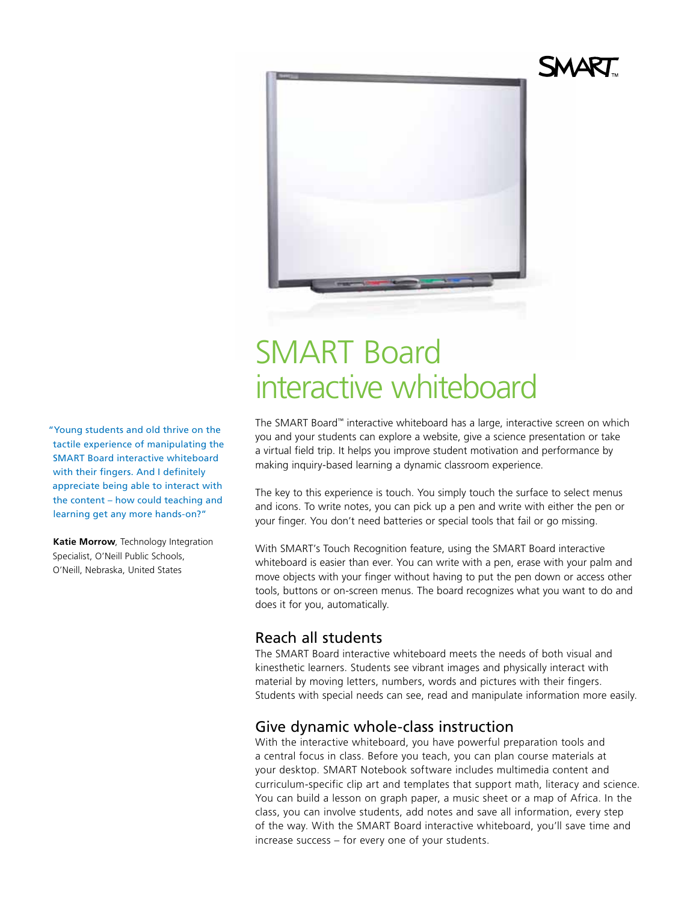

# SMART Board interactive whiteboard

The SMART Board™ interactive whiteboard has a large, interactive screen on which you and your students can explore a website, give a science presentation or take a virtual field trip. It helps you improve student motivation and performance by making inquiry-based learning a dynamic classroom experience.

The key to this experience is touch. You simply touch the surface to select menus and icons. To write notes, you can pick up a pen and write with either the pen or your finger. You don't need batteries or special tools that fail or go missing.

With SMART's Touch Recognition feature, using the SMART Board interactive whiteboard is easier than ever. You can write with a pen, erase with your palm and move objects with your finger without having to put the pen down or access other tools, buttons or on-screen menus. The board recognizes what you want to do and does it for you, automatically.

## Reach all students

The SMART Board interactive whiteboard meets the needs of both visual and kinesthetic learners. Students see vibrant images and physically interact with material by moving letters, numbers, words and pictures with their fingers. Students with special needs can see, read and manipulate information more easily.

# Give dynamic whole-class instruction

With the interactive whiteboard, you have powerful preparation tools and a central focus in class. Before you teach, you can plan course materials at your desktop. SMART Notebook software includes multimedia content and curriculum-specific clip art and templates that support math, literacy and science. You can build a lesson on graph paper, a music sheet or a map of Africa. In the class, you can involve students, add notes and save all information, every step of the way. With the SMART Board interactive whiteboard, you'll save time and increase success – for every one of your students.

"Young students and old thrive on the tactile experience of manipulating the SMART Board interactive whiteboard with their fingers. And I definitely appreciate being able to interact with the content – how could teaching and learning get any more hands-on?"

**Katie Morrow**, Technology Integration Specialist, O'Neill Public Schools, O'Neill, Nebraska, United States